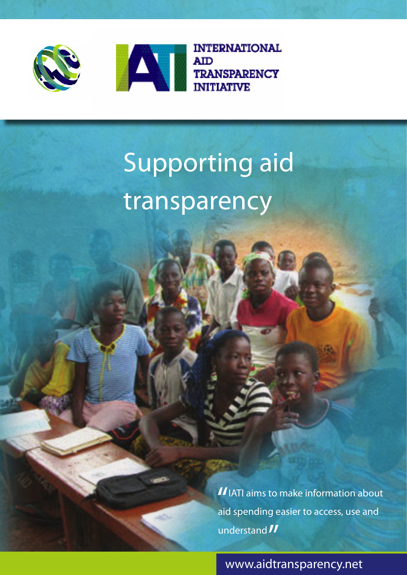



# Supporting aid transparency

II IATI aims to make information about<br>aid spending easier to access, use and aid spending easier to access, use and understand *11* 

www.aidtransparency.net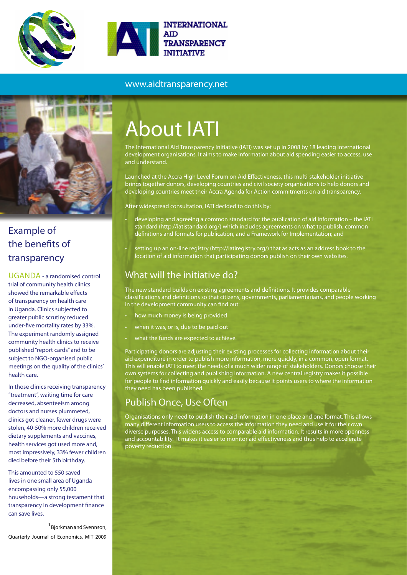

#### www.aidtransparency.net



### Example of the benefits of transparency

UGANDA - a randomised control trial of community health clinics showed the remarkable effects of transparency on health care in Uganda. Clinics subjected to greater public scrutiny reduced under-five mortality rates by 33%. The experiment randomly assigned community health clinics to receive published "report cards" and to be subject to NGO-organised public meetings on the quality of the clinics' health care.

In those clinics receiving transparency "treatment", waiting time for care decreased, absenteeism among doctors and nurses plummeted, clinics got cleaner, fewer drugs were stolen, 40-50% more children received dietary supplements and vaccines, health services got used more and, most impressively, 33% fewer children died before their 5th birthday.

This amounted to 550 saved lives in one small area of Uganda encompassing only 55,000 households—a strong testament that transparency in development finance can save lives.

<sup>1</sup> Bjorkman and Svennson, Quarterly Journal of Economics, MIT 2009

## About IATI

The International Aid Transparency Initiative (IATI) was set up in 2008 by 18 leading international development organisations. It aims to make information about aid spending easier to access, use and understand.

Launched at the Accra High Level Forum on Aid Effectiveness, this multi-stakeholder initiative brings together donors, developing countries and civil society organisations to help donors and developing countries meet their Accra Agenda for Action commitments on aid transparency.

After widespread consultation, IATI decided to do this by:

- developing and agreeing a common standard for the publication of aid information the IATI standard (http://iatistandard.org/) which includes agreements on what to publish, common definitions and formats for publication, and a Framework for Implementation; and
- setting up an on-line registry (http://iatiregistry.org/) that as acts as an address book to the location of aid information that participating donors publish on their own websites.

#### What will the initiative do?

The new standard builds on existing agreements and definitions. It provides comparable classifications and definitions so that citizens, governments, parliamentarians, and people working in the development community can find out:

- how much money is being provided
- when it was, or is, due to be paid out
- what the funds are expected to achieve.

Participating donors are adjusting their existing processes for collecting information about their aid expenditure in order to publish more information, more quickly, in a common, open format. This will enable IATI to meet the needs of a much wider range of stakeholders. Donors choose their own systems for collecting and publishing information. A new central registry makes it possible for people to find information quickly and easily because it points users to where the information they need has been published.

#### Publish Once, Use Often

Organisations only need to publish their aid information in one place and one format. This allows many different information users to access the information they need and use it for their own diverse purposes. This widens access to comparable aid information. It results in more openness and accountability. It makes it easier to monitor aid effectiveness and thus help to accelerate poverty reduction.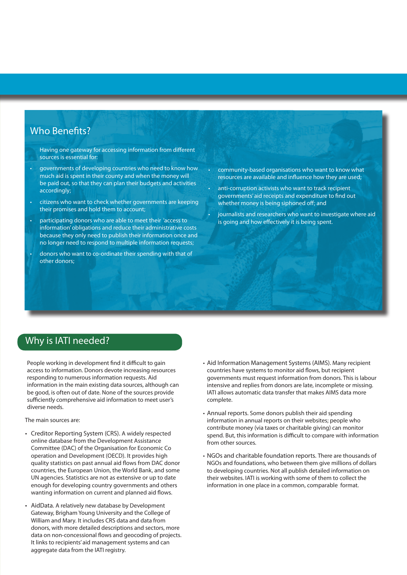#### Who Benefits?

Having one gateway for accessing information from different sources is essential for:

- governments of developing countries who need to know how much aid is spent in their county and when the money will be paid out, so that they can plan their budgets and activities accordingly;
- citizens who want to check whether governments are keeping their promises and hold them to account;
- participating donors who are able to meet their 'access to information' obligations and reduce their administrative costs because they only need to publish their information once and no longer need to respond to multiple information requests;
- donors who want to co-ordinate their spending with that of other donors;
- community-based organisations who want to know what resources are available and influence how they are used;
- anti-corruption activists who want to track recipient governments' aid receipts and expenditure to find out whether money is being siphoned off; and
- journalists and researchers who want to investigate where aid is going and how effectively it is being spent.

#### Why is IATI needed?

People working in development find it difficult to gain access to information. Donors devote increasing resources responding to numerous information requests. Aid information in the main existing data sources, although can be good, is often out of date. None of the sources provide sufficiently comprehensive aid information to meet user's diverse needs.

The main sources are:

- Creditor Reporting System (CRS). A widely respected online database from the Development Assistance Committee (DAC) of the Organisation for Economic Co operation and Development (OECD). It provides high quality statistics on past annual aid flows from DAC donor countries, the European Union, the World Bank, and some UN agencies. Statistics are not as extensive or up to date enough for developing country governments and others wanting information on current and planned aid flows.
- AidData. A relatively new database by Development Gateway, Brigham Young University and the College of William and Mary. It includes CRS data and data from donors, with more detailed descriptions and sectors, more data on non-concessional flows and geocoding of projects. It links to recipients' aid management systems and can aggregate data from the IATI registry.
- Aid Information Management Systems (AIMS). Many recipient countries have systems to monitor aid flows, but recipient governments must request information from donors. This is labour intensive and replies from donors are late, incomplete or missing. IATI allows automatic data transfer that makes AIMS data more complete.
- Annual reports. Some donors publish their aid spending information in annual reports on their websites; people who contribute money (via taxes or charitable giving) can monitor spend. But, this information is difficult to compare with information from other sources.
- NGOs and charitable foundation reports. There are thousands of NGOs and foundations, who between them give millions of dollars to developing countries. Not all publish detailed information on their websites. IATI is working with some of them to collect the information in one place in a common, comparable format.